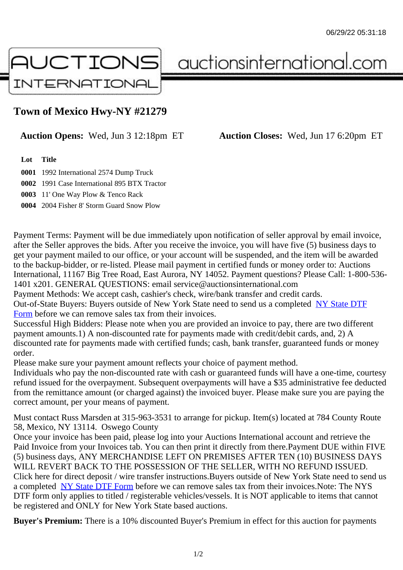## Town of Mexico Hwy-NY #21279

## Auction Opens: Wed, Jun 3 12:18pm ET Auction Closes: Wed, Jun 17 6:20pm ET

Lot Title

0001 1992 International 2574 Dump Truck

0002 1991 Case International 895 BTX Tractor

0003 11' One Way Plow & Tenco Rack

0004 2004 Fisher 8' Storm Guard Snow Plow

Payment Terms: Payment will be due immediately upon notification of seller approval by email invoice, after the Seller approves the bids. After you receive the invoice, you will have five (5) business days to get your payment mailed to our office, or your account will be suspended, and the item will be awarded to the backup-bidder, or re-listed. Please mail payment in certified funds or money order to: Auctions International, 11167 Big Tree Road, East Aurora, NY 14052. Payment questions? Please Call: 1-800-53 1401 x201. GENERAL QUESTIONS: email service@auctionsinternational.com

Payment Methods: We accept cash, cashier's check, wire/bank transfer and credit cards.

Out-of-State Buyers: Buyers outside of New York State need to send us a com blestate DTF Form before we can remove sales tax from their invoices.

Successful High Bidders: Please note when you are provided an invoice to pay, there are two different payment amounts.1) A non-discounted rate for payments made with credit/de[bit cards, and](https://www.auctionsinternational.com/auxiliary/downloads/DTF_Form/dtf_fill_in.pdf), 2) A [disco](https://www.auctionsinternational.com/auxiliary/downloads/DTF_Form/dtf_fill_in.pdf)unted rate for payments made with certified funds; cash, bank transfer, guaranteed funds or mone order.

Please make sure your payment amount reflects your choice of payment method.

Individuals who pay the non-discounted rate with cash or guaranteed funds will have a one-time, courte refund issued for the overpayment. Subsequent overpayments will have a \$35 administrative fee deduc from the remittance amount (or charged against) the invoiced buyer. Please make sure you are paying correct amount, per your means of payment.

Must contact Russ Marsden at 315-963-3531 to arrange for pickup. Item(s) located at 784 County Rout 58, Mexico, NY 13114. Oswego County

Once your invoice has been paid, please log into your Auctions International account and retrieve the Paid Invoice from your Invoices tab. You can then print it directly from there.Payment DUE within FIVE (5) business days, ANY MERCHANDISE LEFT ON PREMISES AFTER TEN (10) BUSINESS DAYS WILL REVERT BACK TO THE POSSESSION OF THE SELLER, WITH NO REFUND ISSUED. Click here for direct deposit / wire transfer instructions. Buyers outside of New York State need to send use a completed NY State DTF Form before we can remove sales tax from their invoices. Note: The NYS DTF form only applies to titled / registerable vehicles/vessels. It is NOT applicable to items that cannot be registered and ONLY for New York State based auctions.

Buyer's Pre[mium: There is a 10](https://www.auctionsinternational.com/auxiliary/downloads/DTF_Form/dtf_fill_in.pdf)% discounted Buyer's Premium in effect for this auction for payments